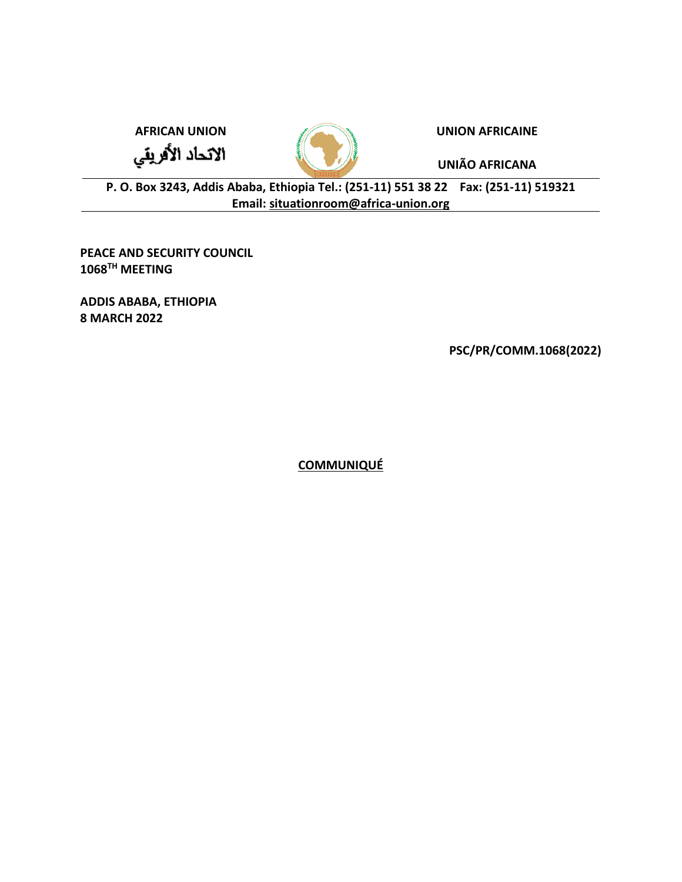الاتحاد الأفريقي



**AFRICAN UNION UNION AFRICAINE**

**UNIÃO AFRICANA**

**P. O. Box 3243, Addis Ababa, Ethiopia Tel.: (251-11) 551 38 22 Fax: (251-11) 519321 Email: [situationroom@africa-union.org](mailto:situationroom@africa-union.org)**

**PEACE AND SECURITY COUNCIL 1068TH MEETING** 

**ADDIS ABABA, ETHIOPIA 8 MARCH 2022**

**PSC/PR/COMM.1068(2022)**

**COMMUNIQUÉ**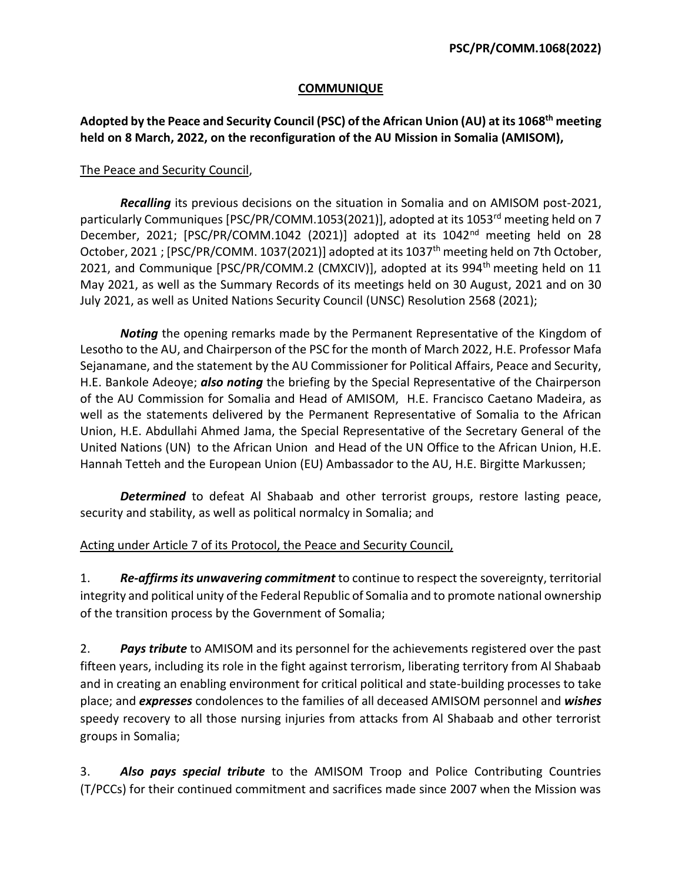## **COMMUNIQUE**

## **Adopted by the Peace and Security Council (PSC) of the African Union (AU) at its 1068th meeting held on 8 March, 2022, on the reconfiguration of the AU Mission in Somalia (AMISOM),**

## The Peace and Security Council,

*Recalling* its previous decisions on the situation in Somalia and on AMISOM post-2021, particularly Communiques [PSC/PR/COMM.1053(2021)], adopted at its 1053<sup>rd</sup> meeting held on 7 December, 2021; [PSC/PR/COMM.1042 (2021)] adopted at its 1042nd meeting held on 28 October, 2021 ; [PSC/PR/COMM. 1037(2021)] adopted at its 1037<sup>th</sup> meeting held on 7th October, 2021, and Communique [PSC/PR/COMM.2 (CMXCIV)], adopted at its 994<sup>th</sup> meeting held on 11 May 2021, as well as the Summary Records of its meetings held on 30 August, 2021 and on 30 July 2021, as well as United Nations Security Council (UNSC) Resolution 2568 (2021);

*Noting* the opening remarks made by the Permanent Representative of the Kingdom of Lesotho to the AU, and Chairperson of the PSC for the month of March 2022, H.E. Professor Mafa Sejanamane, and the statement by the AU Commissioner for Political Affairs, Peace and Security, H.E. Bankole Adeoye; *also noting* the briefing by the Special Representative of the Chairperson of the AU Commission for Somalia and Head of AMISOM, H.E. Francisco Caetano Madeira, as well as the statements delivered by the Permanent Representative of Somalia to the African Union, H.E. Abdullahi Ahmed Jama, the Special Representative of the Secretary General of the United Nations (UN) to the African Union and Head of the UN Office to the African Union, H.E. Hannah Tetteh and the European Union (EU) Ambassador to the AU, H.E. Birgitte Markussen;

*Determined* to defeat Al Shabaab and other terrorist groups, restore lasting peace, security and stability, as well as political normalcy in Somalia; and

## Acting under Article 7 of its Protocol, the Peace and Security Council,

1. *Re-affirmsits unwavering commitment* to continue to respect the sovereignty, territorial integrity and political unity of the Federal Republic of Somalia and to promote national ownership of the transition process by the Government of Somalia;

2. *Pays tribute* to AMISOM and its personnel for the achievements registered over the past fifteen years, including its role in the fight against terrorism, liberating territory from Al Shabaab and in creating an enabling environment for critical political and state-building processes to take place; and *expresses* condolences to the families of all deceased AMISOM personnel and *wishes*  speedy recovery to all those nursing injuries from attacks from Al Shabaab and other terrorist groups in Somalia;

3. *Also pays special tribute* to the AMISOM Troop and Police Contributing Countries (T/PCCs) for their continued commitment and sacrifices made since 2007 when the Mission was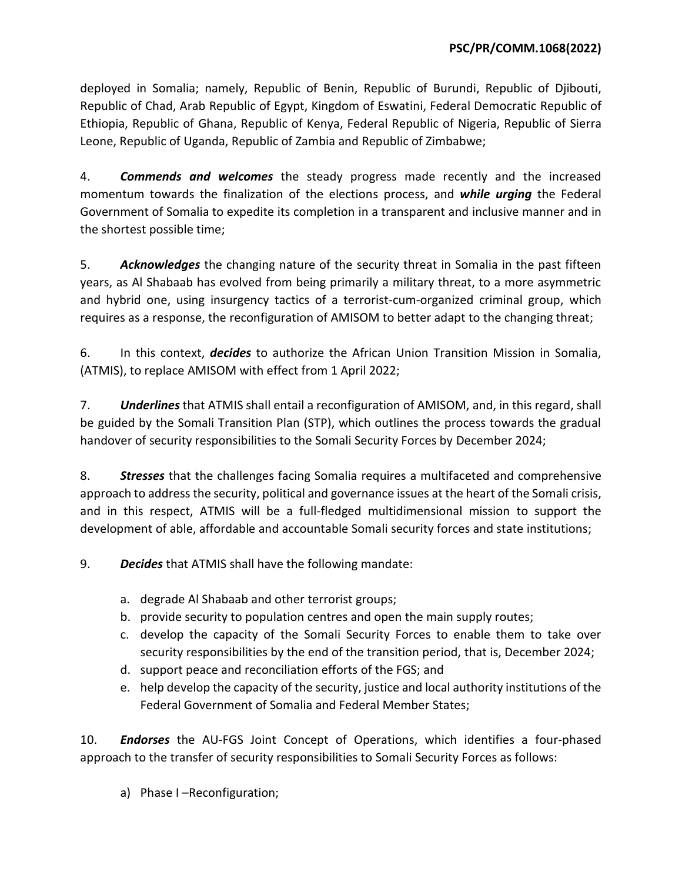deployed in Somalia; namely, Republic of Benin, Republic of Burundi, Republic of Djibouti, Republic of Chad, Arab Republic of Egypt, Kingdom of Eswatini, Federal Democratic Republic of Ethiopia, Republic of Ghana, Republic of Kenya, Federal Republic of Nigeria, Republic of Sierra Leone, Republic of Uganda, Republic of Zambia and Republic of Zimbabwe;

4. *Commends and welcomes* the steady progress made recently and the increased momentum towards the finalization of the elections process, and *while urging* the Federal Government of Somalia to expedite its completion in a transparent and inclusive manner and in the shortest possible time;

5. *Acknowledges* the changing nature of the security threat in Somalia in the past fifteen years, as Al Shabaab has evolved from being primarily a military threat, to a more asymmetric and hybrid one, using insurgency tactics of a terrorist-cum-organized criminal group, which requires as a response, the reconfiguration of AMISOM to better adapt to the changing threat;

6. In this context, *decides* to authorize the African Union Transition Mission in Somalia, (ATMIS), to replace AMISOM with effect from 1 April 2022;

7. *Underlines* that ATMIS shall entail a reconfiguration of AMISOM, and, in this regard, shall be guided by the Somali Transition Plan (STP), which outlines the process towards the gradual handover of security responsibilities to the Somali Security Forces by December 2024;

8. *Stresses* that the challenges facing Somalia requires a multifaceted and comprehensive approach to address the security, political and governance issues at the heart of the Somali crisis, and in this respect, ATMIS will be a full-fledged multidimensional mission to support the development of able, affordable and accountable Somali security forces and state institutions;

9. *Decides* that ATMIS shall have the following mandate:

- a. degrade Al Shabaab and other terrorist groups;
- b. provide security to population centres and open the main supply routes;
- c. develop the capacity of the Somali Security Forces to enable them to take over security responsibilities by the end of the transition period, that is, December 2024;
- d. support peace and reconciliation efforts of the FGS; and
- e. help develop the capacity of the security, justice and local authority institutions of the Federal Government of Somalia and Federal Member States;

10. *Endorses* the AU-FGS Joint Concept of Operations, which identifies a four-phased approach to the transfer of security responsibilities to Somali Security Forces as follows:

a) Phase I –Reconfiguration;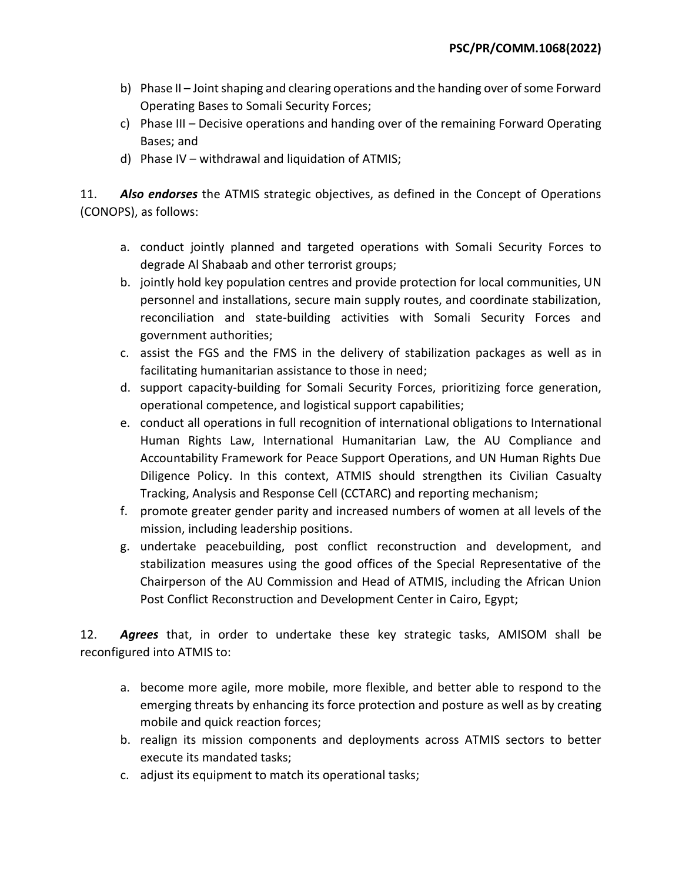- b) Phase II Joint shaping and clearing operations and the handing over of some Forward Operating Bases to Somali Security Forces;
- c) Phase III Decisive operations and handing over of the remaining Forward Operating Bases; and
- d) Phase IV withdrawal and liquidation of ATMIS;

11. *Also endorses* the ATMIS strategic objectives, as defined in the Concept of Operations (CONOPS), as follows:

- a. conduct jointly planned and targeted operations with Somali Security Forces to degrade Al Shabaab and other terrorist groups;
- b. jointly hold key population centres and provide protection for local communities, UN personnel and installations, secure main supply routes, and coordinate stabilization, reconciliation and state-building activities with Somali Security Forces and government authorities;
- c. assist the FGS and the FMS in the delivery of stabilization packages as well as in facilitating humanitarian assistance to those in need;
- d. support capacity-building for Somali Security Forces, prioritizing force generation, operational competence, and logistical support capabilities;
- e. conduct all operations in full recognition of international obligations to International Human Rights Law, International Humanitarian Law, the AU Compliance and Accountability Framework for Peace Support Operations, and UN Human Rights Due Diligence Policy. In this context, ATMIS should strengthen its Civilian Casualty Tracking, Analysis and Response Cell (CCTARC) and reporting mechanism;
- f. promote greater gender parity and increased numbers of women at all levels of the mission, including leadership positions.
- g. undertake peacebuilding, post conflict reconstruction and development, and stabilization measures using the good offices of the Special Representative of the Chairperson of the AU Commission and Head of ATMIS, including the African Union Post Conflict Reconstruction and Development Center in Cairo, Egypt;

12. *Agrees* that, in order to undertake these key strategic tasks, AMISOM shall be reconfigured into ATMIS to:

- a. become more agile, more mobile, more flexible, and better able to respond to the emerging threats by enhancing its force protection and posture as well as by creating mobile and quick reaction forces;
- b. realign its mission components and deployments across ATMIS sectors to better execute its mandated tasks;
- c. adjust its equipment to match its operational tasks;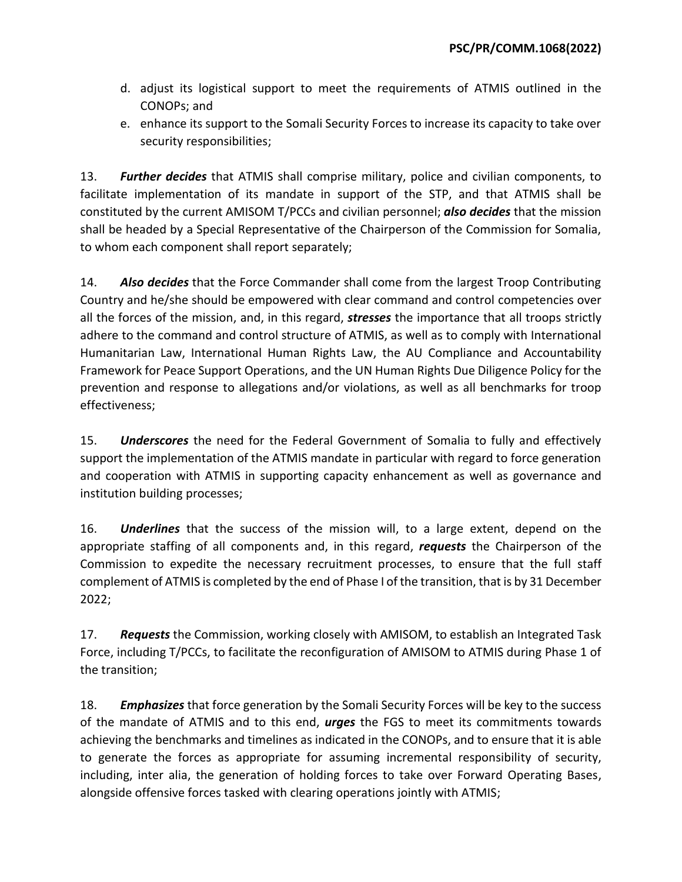- d. adjust its logistical support to meet the requirements of ATMIS outlined in the CONOPs; and
- e. enhance its support to the Somali Security Forces to increase its capacity to take over security responsibilities;

13. *Further decides* that ATMIS shall comprise military, police and civilian components, to facilitate implementation of its mandate in support of the STP, and that ATMIS shall be constituted by the current AMISOM T/PCCs and civilian personnel; *also decides* that the mission shall be headed by a Special Representative of the Chairperson of the Commission for Somalia, to whom each component shall report separately;

14. *Also decides* that the Force Commander shall come from the largest Troop Contributing Country and he/she should be empowered with clear command and control competencies over all the forces of the mission, and, in this regard, *stresses* the importance that all troops strictly adhere to the command and control structure of ATMIS, as well as to comply with International Humanitarian Law, International Human Rights Law, the AU Compliance and Accountability Framework for Peace Support Operations, and the UN Human Rights Due Diligence Policy for the prevention and response to allegations and/or violations, as well as all benchmarks for troop effectiveness;

15. *Underscores* the need for the Federal Government of Somalia to fully and effectively support the implementation of the ATMIS mandate in particular with regard to force generation and cooperation with ATMIS in supporting capacity enhancement as well as governance and institution building processes;

16. *Underlines* that the success of the mission will, to a large extent, depend on the appropriate staffing of all components and, in this regard, *requests* the Chairperson of the Commission to expedite the necessary recruitment processes, to ensure that the full staff complement of ATMIS is completed by the end of Phase I of the transition, that is by 31 December 2022;

17. *Requests* the Commission, working closely with AMISOM, to establish an Integrated Task Force, including T/PCCs, to facilitate the reconfiguration of AMISOM to ATMIS during Phase 1 of the transition;

18. *Emphasizes* that force generation by the Somali Security Forces will be key to the success of the mandate of ATMIS and to this end, *urges* the FGS to meet its commitments towards achieving the benchmarks and timelines as indicated in the CONOPs, and to ensure that it is able to generate the forces as appropriate for assuming incremental responsibility of security, including, inter alia, the generation of holding forces to take over Forward Operating Bases, alongside offensive forces tasked with clearing operations jointly with ATMIS;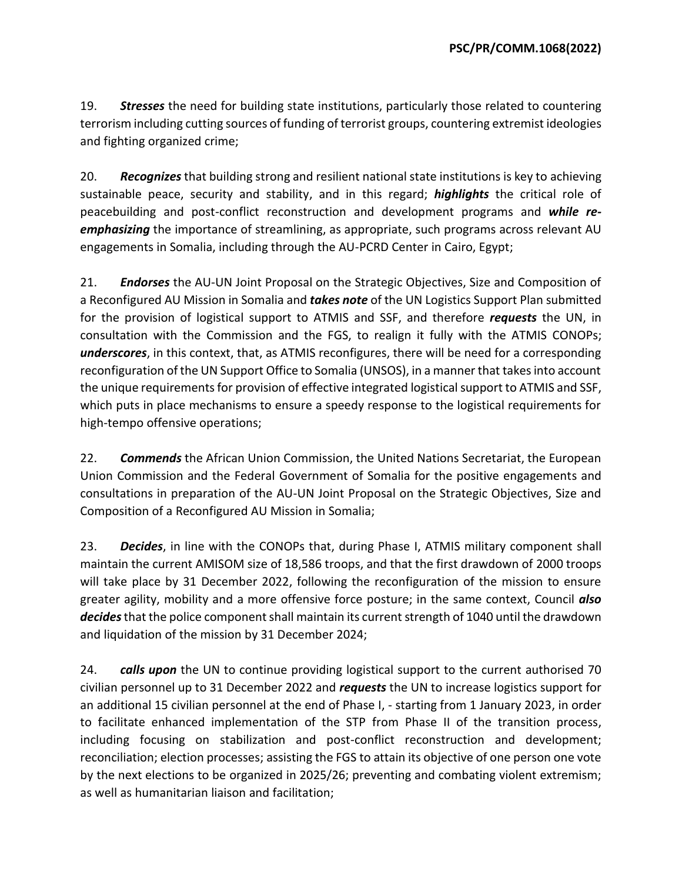19. *Stresses* the need for building state institutions, particularly those related to countering terrorism including cutting sources of funding of terrorist groups, countering extremist ideologies and fighting organized crime;

20. *Recognizes* that building strong and resilient national state institutions is key to achieving sustainable peace, security and stability, and in this regard; *highlights* the critical role of peacebuilding and post-conflict reconstruction and development programs and *while reemphasizing* the importance of streamlining, as appropriate, such programs across relevant AU engagements in Somalia, including through the AU-PCRD Center in Cairo, Egypt;

21. *Endorses* the AU-UN Joint Proposal on the Strategic Objectives, Size and Composition of a Reconfigured AU Mission in Somalia and *takes note* of the UN Logistics Support Plan submitted for the provision of logistical support to ATMIS and SSF, and therefore *requests* the UN, in consultation with the Commission and the FGS, to realign it fully with the ATMIS CONOPs; *underscores*, in this context, that, as ATMIS reconfigures, there will be need for a corresponding reconfiguration of the UN Support Office to Somalia (UNSOS), in a manner that takes into account the unique requirements for provision of effective integrated logistical support to ATMIS and SSF, which puts in place mechanisms to ensure a speedy response to the logistical requirements for high-tempo offensive operations;

22. *Commends* the African Union Commission, the United Nations Secretariat, the European Union Commission and the Federal Government of Somalia for the positive engagements and consultations in preparation of the AU-UN Joint Proposal on the Strategic Objectives, Size and Composition of a Reconfigured AU Mission in Somalia;

23. *Decides*, in line with the CONOPs that, during Phase I, ATMIS military component shall maintain the current AMISOM size of 18,586 troops, and that the first drawdown of 2000 troops will take place by 31 December 2022, following the reconfiguration of the mission to ensure greater agility, mobility and a more offensive force posture; in the same context, Council *also decides*that the police component shall maintain its current strength of 1040 until the drawdown and liquidation of the mission by 31 December 2024;

24. *calls upon* the UN to continue providing logistical support to the current authorised 70 civilian personnel up to 31 December 2022 and *requests* the UN to increase logistics support for an additional 15 civilian personnel at the end of Phase I, - starting from 1 January 2023, in order to facilitate enhanced implementation of the STP from Phase II of the transition process, including focusing on stabilization and post-conflict reconstruction and development; reconciliation; election processes; assisting the FGS to attain its objective of one person one vote by the next elections to be organized in 2025/26; preventing and combating violent extremism; as well as humanitarian liaison and facilitation;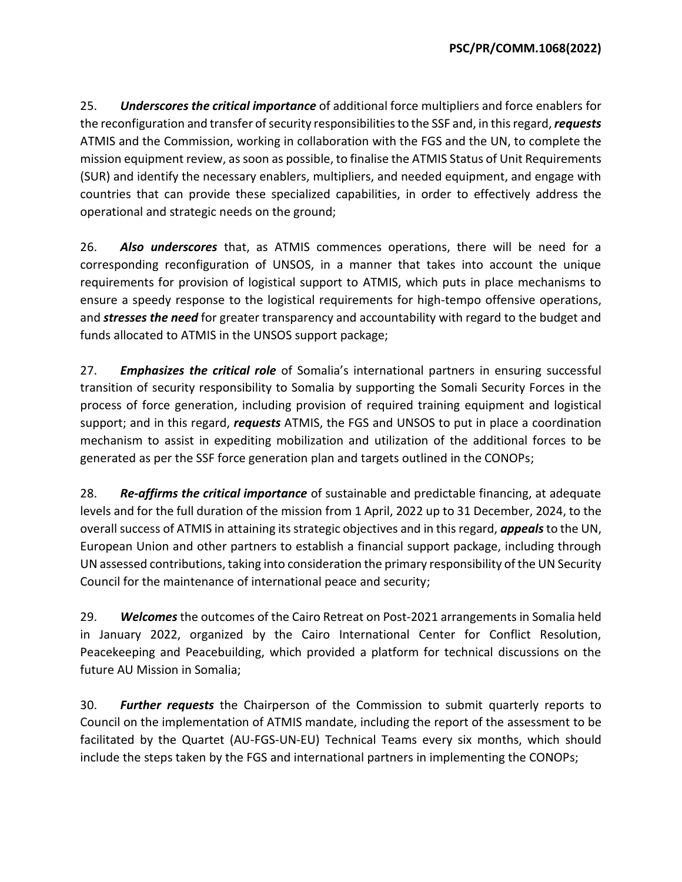25. *Underscores the critical importance* of additional force multipliers and force enablers for the reconfiguration and transfer of security responsibilities to the SSF and, in this regard, *requests*  ATMIS and the Commission, working in collaboration with the FGS and the UN, to complete the mission equipment review, as soon as possible, to finalise the ATMIS Status of Unit Requirements (SUR) and identify the necessary enablers, multipliers, and needed equipment, and engage with countries that can provide these specialized capabilities, in order to effectively address the operational and strategic needs on the ground;

26. *Also underscores* that, as ATMIS commences operations, there will be need for a corresponding reconfiguration of UNSOS, in a manner that takes into account the unique requirements for provision of logistical support to ATMIS, which puts in place mechanisms to ensure a speedy response to the logistical requirements for high-tempo offensive operations, and *stresses the need* for greater transparency and accountability with regard to the budget and funds allocated to ATMIS in the UNSOS support package;

27. *Emphasizes the critical role* of Somalia's international partners in ensuring successful transition of security responsibility to Somalia by supporting the Somali Security Forces in the process of force generation, including provision of required training equipment and logistical support; and in this regard, *requests* ATMIS, the FGS and UNSOS to put in place a coordination mechanism to assist in expediting mobilization and utilization of the additional forces to be generated as per the SSF force generation plan and targets outlined in the CONOPs;

28. *Re-affirms the critical importance* of sustainable and predictable financing, at adequate levels and for the full duration of the mission from 1 April, 2022 up to 31 December, 2024, to the overall success of ATMIS in attaining its strategic objectives and in this regard, *appeals* to the UN, European Union and other partners to establish a financial support package, including through UN assessed contributions, taking into consideration the primary responsibility of the UN Security Council for the maintenance of international peace and security;

29. *Welcomes* the outcomes of the Cairo Retreat on Post-2021 arrangements in Somalia held in January 2022, organized by the Cairo International Center for Conflict Resolution, Peacekeeping and Peacebuilding, which provided a platform for technical discussions on the future AU Mission in Somalia;

30. *Further requests* the Chairperson of the Commission to submit quarterly reports to Council on the implementation of ATMIS mandate, including the report of the assessment to be facilitated by the Quartet (AU-FGS-UN-EU) Technical Teams every six months, which should include the steps taken by the FGS and international partners in implementing the CONOPs;